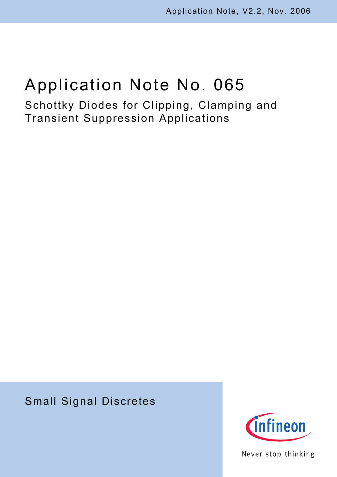# Application Note No. 065

Schottky Diodes for Clipping, Clamping and Transient Suppression Applications

# Small Signal Discretes



Never stop thinking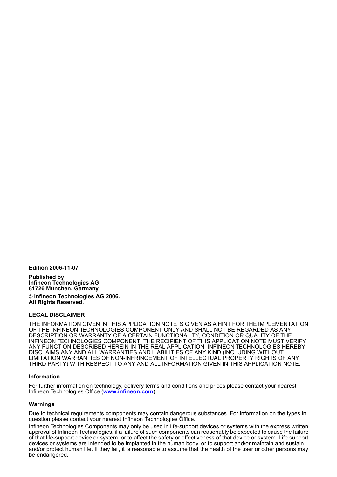**Edition 2006-11-07**

**Published by Infineon Technologies AG 81726 München, Germany**

**© Infineon Technologies AG 2006. All Rights Reserved.**

#### **LEGAL DISCLAIMER**

THE INFORMATION GIVEN IN THIS APPLICATION NOTE IS GIVEN AS A HINT FOR THE IMPLEMENTATION OF THE INFINEON TECHNOLOGIES COMPONENT ONLY AND SHALL NOT BE REGARDED AS ANY DESCRIPTION OR WARRANTY OF A CERTAIN FUNCTIONALITY, CONDITION OR QUALITY OF THE INFINEON TECHNOLOGIES COMPONENT. THE RECIPIENT OF THIS APPLICATION NOTE MUST VERIFY ANY FUNCTION DESCRIBED HEREIN IN THE REAL APPLICATION. INFINEON TECHNOLOGIES HEREBY DISCLAIMS ANY AND ALL WARRANTIES AND LIABILITIES OF ANY KIND (INCLUDING WITHOUT LIMITATION WARRANTIES OF NON-INFRINGEMENT OF INTELLECTUAL PROPERTY RIGHTS OF ANY THIRD PARTY) WITH RESPECT TO ANY AND ALL INFORMATION GIVEN IN THIS APPLICATION NOTE.

#### **Information**

For further information on technology, delivery terms and conditions and prices please contact your nearest Infineon Technologies Office (**[www.infineon.com](http://www.infineon.com)**).

#### **Warnings**

Due to technical requirements components may contain dangerous substances. For information on the types in question please contact your nearest Infineon Technologies Office.

Infineon Technologies Components may only be used in life-support devices or systems with the express written approval of Infineon Technologies, if a failure of such components can reasonably be expected to cause the failure of that life-support device or system, or to affect the safety or effectiveness of that device or system. Life support devices or systems are intended to be implanted in the human body, or to support and/or maintain and sustain and/or protect human life. If they fail, it is reasonable to assume that the health of the user or other persons may be endangered.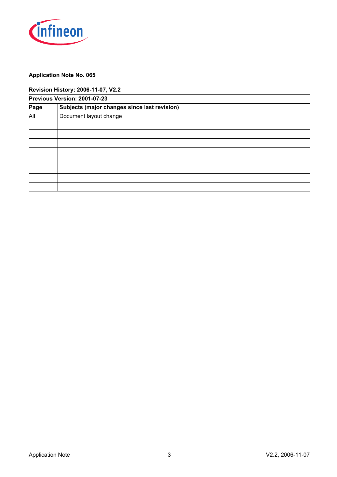

# **Application Note No. 065**

#### **Revision History: 2006-11-07, V2.2**

| Previous Version: 2001-07-23 |                                              |  |  |  |  |  |  |
|------------------------------|----------------------------------------------|--|--|--|--|--|--|
| Page                         | Subjects (major changes since last revision) |  |  |  |  |  |  |
| All                          | Document layout change                       |  |  |  |  |  |  |
|                              |                                              |  |  |  |  |  |  |
|                              |                                              |  |  |  |  |  |  |
|                              |                                              |  |  |  |  |  |  |
|                              |                                              |  |  |  |  |  |  |
|                              |                                              |  |  |  |  |  |  |
|                              |                                              |  |  |  |  |  |  |
|                              |                                              |  |  |  |  |  |  |
|                              |                                              |  |  |  |  |  |  |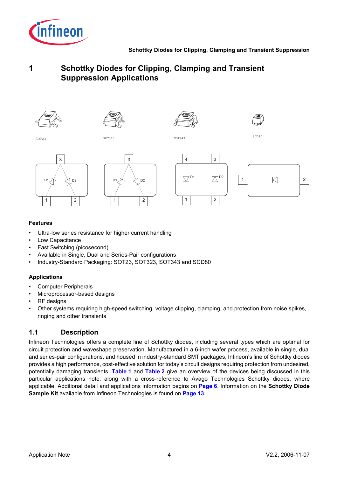









SOT23 SOT323 SOT343 SCD80









# **Features**

- Ultra-low series resistance for higher current handling
- Low Capacitance
- Fast Switching (picosecond)
- Available in Single, Dual and Series-Pair configurations
- Industry-Standard Packaging: SOT23, SOT323, SOT343 and SCD80

# **Applications**

- Computer Peripherals
- Microprocessor-based designs
- RF designs
- Other systems requiring high-speed switching, voltage clipping, clamping, and protection from noise spikes, ringing and other transients

# **1.1 Description**

Infineon Technologies offers a complete line of Schottky diodes, including several types which are optimal for circuit protection and waveshape preservation. Manufactured in a 6-inch wafer process, available in single, dual and series-pair configurations, and housed in industry-standard SMT packages, Infineon's line of Schottky diodes provides a high performance, cost-effective solution for today's circuit designs requiring protection from undesired, potentially damaging transients. **[Table](#page-4-0) 1** and **[Table](#page-5-0) 2** give an overview of the devices being discussed in this particular applications note, along with a cross-reference to Avago Technologies Schottky diodes, where applicable. Additional detail and applications information begins on **[Page](#page-5-1) 6**. Information on the **Schottky Diode Sample Kit** available from Infineon Technologies is found on **[Page](#page-12-0) 13**.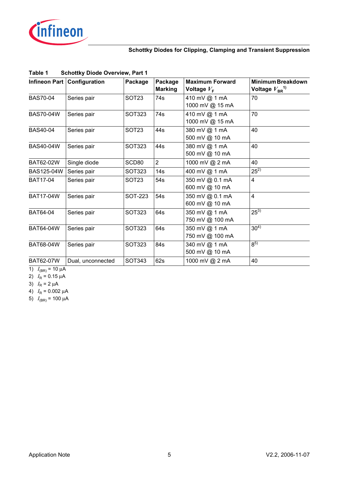

| Infineon Part    | Configuration     | Package           | Package<br><b>Marking</b> | <b>Maximum Forward</b><br>Voltage $V_F$ | Minimum Breakdown<br>Voltage $V_{BR}^{1}$ <sup>1)</sup> |
|------------------|-------------------|-------------------|---------------------------|-----------------------------------------|---------------------------------------------------------|
| <b>BAS70-04</b>  | Series pair       | <b>SOT23</b>      | 74s                       | 410 mV @ 1 mA<br>1000 mV @ 15 mA        | 70                                                      |
| <b>BAS70-04W</b> | Series pair       | SOT323            | 74s                       | 410 mV @ 1 mA<br>1000 mV @ 15 mA        | 70                                                      |
| <b>BAS40-04</b>  | Series pair       | SOT <sub>23</sub> | 44s                       | 380 mV @ 1 mA<br>500 mV @ 10 mA         | 40                                                      |
| <b>BAS40-04W</b> | Series pair       | SOT323            | 44s                       | 380 mV @ 1 mA<br>500 mV @ 10 mA         | 40                                                      |
| <b>BAT62-02W</b> | Single diode      | SCD80             | $\overline{2}$            | 1000 mV @ 2 mA                          | 40                                                      |
| BAS125-04W       | Series pair       | SOT323            | 14s                       | 400 mV @ 1 mA                           | $25^{2}$                                                |
| <b>BAT17-04</b>  | Series pair       | SOT <sub>23</sub> | 54s                       | 350 mV @ 0.1 mA<br>600 mV @ 10 mA       | $\overline{4}$                                          |
| <b>BAT17-04W</b> | Series pair       | SOT-223           | 54s                       | 350 mV @ 0.1 mA<br>600 mV @ 10 mA       | $\overline{4}$                                          |
| BAT64-04         | Series pair       | <b>SOT323</b>     | 64s                       | 350 mV @ 1 mA<br>750 mV @ 100 mA        | $25^{3}$                                                |
| <b>BAT64-04W</b> | Series pair       | <b>SOT323</b>     | 64s                       | 350 mV @ 1 mA<br>750 mV @ 100 mA        | $30^{4}$                                                |
| <b>BAT68-04W</b> | Series pair       | SOT323            | 84s                       | 340 mV @ 1 mA<br>500 mV @ 10 mA         | $8^{5}$                                                 |
| <b>BAT62-07W</b> | Dual, unconnected | SOT343            | 62s                       | 1000 mV @ 2 mA                          | 40                                                      |

# <span id="page-4-0"></span>**Table 1 Schottky Diode Overview, Part 1**

1)  $I_{(BR)} = 10 \mu A$ 

2)  $I_R = 0.15 \mu A$ 

3)  $I_R = 2 \mu A$ 

4)  $I_R = 0.002 \mu A$ 

5)  $I_{(BR)} = 100 \mu A$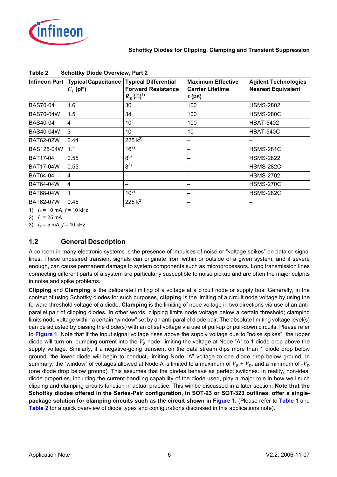

<span id="page-5-3"></span>

| Infineon Part    | <b>Typical Capacitance</b><br>$C_{\text{T}}$ (pF) | <b>Typical Differential</b><br><b>Forward Resistance</b><br>$R_{\rm s}(\Omega)^{1}$ | <b>Maximum Effective</b><br><b>Carrier Lifetime</b><br>$\tau$ (ps) | <b>Agilent Technologies</b><br><b>Nearest Equivalent</b> |
|------------------|---------------------------------------------------|-------------------------------------------------------------------------------------|--------------------------------------------------------------------|----------------------------------------------------------|
| <b>BAS70-04</b>  | 1.6                                               | 30                                                                                  | 100                                                                | <b>HSMS-2802</b>                                         |
| <b>BAS70-04W</b> | 1.5                                               | 34                                                                                  | 100                                                                | <b>HSMS-280C</b>                                         |
| <b>BAS40-04</b>  | 4                                                 | 10                                                                                  | 100                                                                | <b>HBAT-5402</b>                                         |
| <b>BAS40-04W</b> | 3                                                 | 10                                                                                  | 10                                                                 | HBAT-540C                                                |
| <b>BAT62-02W</b> | 0.44                                              | 225 $k^{2}$                                                                         |                                                                    |                                                          |
| BAS125-04W       | 1.1                                               | $16^{3}$                                                                            | -                                                                  | <b>HSMS-281C</b>                                         |
| <b>BAT17-04</b>  | 0.55                                              | $8^{3)}$                                                                            |                                                                    | <b>HSMS-2822</b>                                         |
| <b>BAT17-04W</b> | 0.55                                              | $8^{3)}$                                                                            |                                                                    | <b>HSMS-282C</b>                                         |
| <b>BAT64-04</b>  | 4                                                 |                                                                                     |                                                                    | <b>HSMS-2702</b>                                         |
| BAT64-04W        | 4                                                 |                                                                                     |                                                                    | <b>HSMS-270C</b>                                         |
| <b>BAT68-04W</b> |                                                   | $10^{3}$                                                                            |                                                                    | <b>HSMS-282C</b>                                         |
| <b>BAT62-07W</b> | 0.45                                              | 225 $k^{2}$                                                                         |                                                                    |                                                          |

#### <span id="page-5-0"></span>**Table 2 Schottky Diode Overview, Part 2**

<span id="page-5-2"></span>1)  $I_F$  = 10 mA,  $f$  = 10 kHz

2)  $I_F = 25 \text{ mA}$ 

3)  $I_F = 5 \text{ mA}, f = 10 \text{ kHz}$ 

# <span id="page-5-1"></span>**1.2 General Description**

A concern in many electronic systems is the presence of impulses of noise or "voltage spikes" on data or signal lines. These undesired transient signals can originate from within or outside of a given system, and if severe enough, can cause permanent damage to system components such as microprocessors. Long transmission lines connecting different parts of a system are particularly susceptible to noise pickup and are often the major culprits in noise and spike problems.

**Clipping** and **Clamping** is the deliberate limiting of a voltage at a circuit node or supply bus. Generally, in the context of using Schottky diodes for such purposes, **clipping** is the limiting of a circuit node voltage by using the forward threshold voltage of a diode. **Clamping** is the limiting of node voltage in two directions via use of an antiparallel pair of clipping diodes. In other words, clipping limits node voltage below a certain threshold; clamping limits node voltage within a certain "window" set by an anti-parallel diode pair. The absolute limiting voltage level(s) can be adjusted by biasing the diode(s) with an offset voltage via use of pull-up or pull-down circuits. Please refer to **[Figure](#page-6-0) 1**. Note that if the input signal voltage rises above the supply voltage due to "noise spikes", the upper diode will turn on, dumping current into the  $V_s$  node, limiting the voltage at Node "A" to 1 diode drop above the supply voltage. Similarly, if a negative-going transient on the data stream dips more than 1 diode drop below ground, the lower diode will begin to conduct, limiting Node "A" voltage to one diode drop below ground. In summary, the "window" of voltages allowed at Node A is limited to a maximum of  $V_S + V_D$ , and a minimum of  $-V_D$ (one diode drop below ground). This assumes that the diodes behave as perfect switches. In reality, non-ideal diode properties, including the current-handling capability of the diode used, play a major role in how well such clipping and clamping circuits function in actual practice. This will be discussed in a later section. **Note that the Schottky diodes offered in the Series-Pair configuration, in SOT-23 or SOT-323 outlines, offer a singlepackage solution for clamping circuits such as the circuit shown in [Figure](#page-6-0) 1.** (Please refer to **[Table](#page-4-0) 1** and **[Table](#page-5-0) 2** for a quick overview of diode types and configurations discussed in this applications note).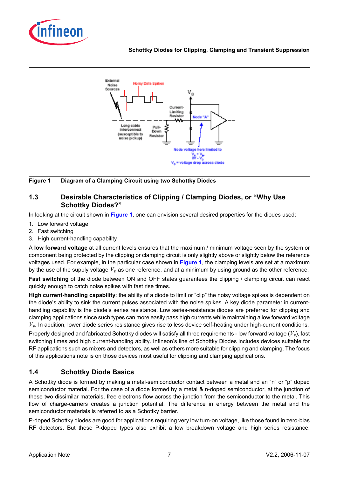



<span id="page-6-0"></span>**Figure 1 Diagram of a Clamping Circuit using two Schottky Diodes**

# **1.3 Desirable Characteristics of Clipping / Clamping Diodes, or "Why Use Schottky Diodes?"**

In looking at the circuit shown in **[Figure](#page-6-0) 1**, one can envision several desired properties for the diodes used:

- 1. Low forward voltage
- 2. Fast switching
- 3. High current-handling capability

A **low forward voltage** at all current levels ensures that the maximum / minimum voltage seen by the system or component being protected by the clipping or clamping circuit is only slightly above or slightly below the reference voltages used. For example, in the particular case shown in **[Figure](#page-6-0) 1**, the clamping levels are set at a maximum by the use of the supply voltage  $V_S$  as one reference, and at a minimum by using ground as the other reference.

**Fast switching** of the diode between ON and OFF states guarantees the clipping / clamping circuit can react quickly enough to catch noise spikes with fast rise times.

**High current-handling capability**: the ability of a diode to limit or "clip" the noisy voltage spikes is dependent on the diode's ability to sink the current pulses associated with the noise spikes. A key diode parameter in currenthandling capability is the diode's series resistance. Low series-resistance diodes are preferred for clipping and clamping applications since such types can more easily pass high currents while maintaining a low forward voltage  $V_F$ . In addition, lower diode series resistance gives rise to less device self-heating under high-current conditions.

Properly designed and fabricated Schottky diodes will satisfy all three requirements - low forward voltage ( $V_F$ ), fast switching times and high current-handling ability. Infineon's line of Schottky Diodes includes devices suitable for RF applications such as mixers and detectors, as well as others more suitable for clipping and clamping. The focus of this applications note is on those devices most useful for clipping and clamping applications.

# **1.4 Schottky Diode Basics**

A Schottky diode is formed by making a metal-semiconductor contact between a metal and an "n" or "p" doped semiconductor material. For the case of a diode formed by a metal & n-doped semiconductor, at the junction of these two dissimilar materials, free electrons flow across the junction from the semiconductor to the metal. This flow of charge-carriers creates a junction potential. The difference in energy between the metal and the semiconductor materials is referred to as a Schottky barrier.

P-doped Schottky diodes are good for applications requiring very low turn-on voltage, like those found in zero-bias RF detectors. But these P-doped types also exhibit a low breakdown voltage and high series resistance.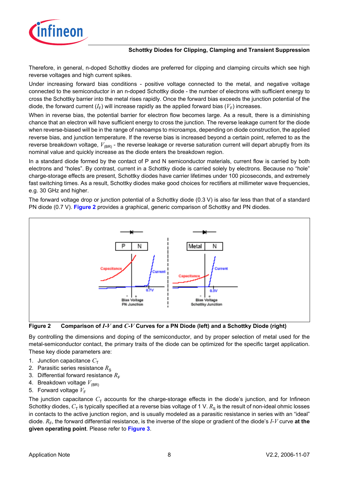

Therefore, in general, n-doped Schottky diodes are preferred for clipping and clamping circuits which see high reverse voltages and high current spikes.

Under increasing forward bias conditions - positive voltage connected to the metal, and negative voltage connected to the semiconductor in an n-doped Schottky diode - the number of electrons with sufficient energy to cross the Schottky barrier into the metal rises rapidly. Once the forward bias exceeds the junction potential of the diode, the forward current  $(I_F)$  will increase rapidly as the applied forward bias  $(V_F)$  increases.

When in reverse bias, the potential barrier for electron flow becomes large. As a result, there is a diminishing chance that an electron will have sufficient energy to cross the junction. The reverse leakage current for the diode when reverse-biased will be in the range of nanoamps to microamps, depending on diode construction, the applied reverse bias, and junction temperature. If the reverse bias is increased beyond a certain point, referred to as the reverse breakdown voltage,  $V_{(BR)}$  - the reverse leakage or reverse saturation current will depart abruptly from its nominal value and quickly increase as the diode enters the breakdown region.

In a standard diode formed by the contact of P and N semiconductor materials, current flow is carried by both electrons and "holes". By contrast, current in a Schottky diode is carried solely by electrons. Because no "hole" charge-storage effects are present, Schottky diodes have carrier lifetimes under 100 picoseconds, and extremely fast switching times. As a result, Schottky diodes make good choices for rectifiers at millimeter wave frequencies, e.g. 30 GHz and higher.

The forward voltage drop or junction potential of a Schottky diode (0.3 V) is also far less than that of a standard PN diode (0.7 V). **[Figure](#page-7-0) 2** provides a graphical, generic comparison of Schottky and PN diodes.



#### <span id="page-7-0"></span>**Figure 2 Comparison of** *I***-***V* **and** *C***-***V* **Curves for a PN Diode (left) and a Schottky Diode (right)**

By controlling the dimensions and doping of the semiconductor, and by proper selection of metal used for the metal-semiconductor contact, the primary traits of the diode can be optimized for the specific target application. These key diode parameters are:

- 1. Junction capacitance  $C_{\text{T}}$
- 2. Parasitic series resistance  $R<sub>S</sub>$
- 3. Differential forward resistance  $R_F$
- 4. Breakdown voltage  $V_{(BR)}$
- 5. Forward voltage  $V_F$

The junction capacitance  $C<sub>T</sub>$  accounts for the charge-storage effects in the diode's junction, and for Infineon Schottky diodes,  $C_T$  is typically specified at a reverse bias voltage of 1 V.  $R_S$  is the result of non-ideal ohmic losses in contacts to the active junction region, and is usually modeled as a parasitic resistance in series with an "ideal" diode.  $R_F$ , the forward differential resistance, is the inverse of the slope or gradient of the diode's  $I-V$  curve at the **given operating point**. Please refer to **[Figure](#page-8-0) 3**.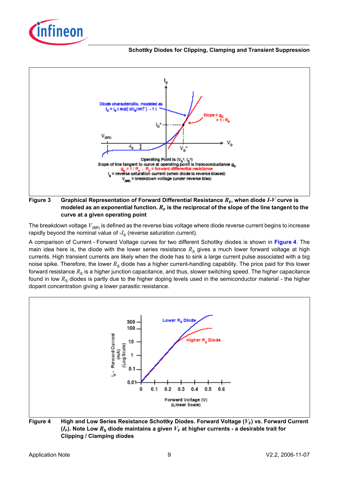![](_page_8_Picture_0.jpeg)

![](_page_8_Figure_2.jpeg)

## <span id="page-8-0"></span>**Figure** 3 Graphical Representation of Forward Differential Resistance  $R_F$ , when diode  $I-V$  curve is modeled as an exponential function.  $R_F$  is the reciprocal of the slope of the line tangent to the **curve at a given operating point**

The breakdown voltage  $V_{(BR)}$  is defined as the reverse bias voltage where diode reverse current begins to increase rapidly beyond the nominal value of  $-I<sub>S</sub>$  (reverse saturation current).

A comparison of Current - Forward Voltage curves for two different Schottky diodes is shown in **[Figure](#page-8-1) 4**. The main idea here is, the diode with the lower series resistance  $R<sub>S</sub>$  gives a much lower forward voltage at high currents. High transient currents are likely when the diode has to sink a large current pulse associated with a big noise spike. Therefore, the lower  $R<sub>S</sub>$  diode has a higher current-handling capability. The price paid for this lower forward resistance  $R<sub>S</sub>$  is a higher junction capacitance, and thus, slower switching speed. The higher capacitance found in low R<sub>S</sub> diodes is partly due to the higher doping levels used in the semiconductor material - the higher dopant concentration giving a lower parasitic resistance.

![](_page_8_Figure_6.jpeg)

<span id="page-8-1"></span>Figure 4 High and Low Series Resistance Schottky Diodes. Forward Voltage ( $V_F$ ) vs. Forward Current  $(I_F)$ . Note Low  $R_S$  diode maintains a given  $V_F$  at higher currents - a desirable trait for **Clipping / Clamping diodes**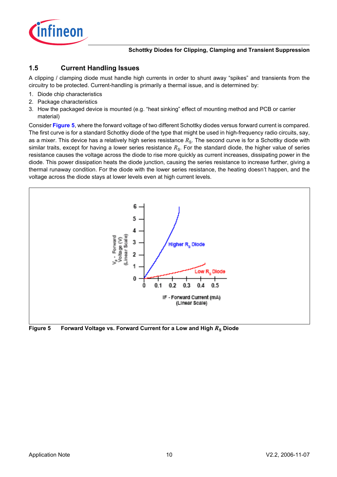![](_page_9_Picture_0.jpeg)

# **1.5 Current Handling Issues**

A clipping / clamping diode must handle high currents in order to shunt away "spikes" and transients from the circuitry to be protected. Current-handling is primarily a thermal issue, and is determined by:

- 1. Diode chip characteristics
- 2. Package characteristics
- 3. How the packaged device is mounted (e.g. "heat sinking" effect of mounting method and PCB or carrier material)

Consider **[Figure](#page-9-0) 5**, where the forward voltage of two different Schottky diodes versus forward current is compared. The first curve is for a standard Schottky diode of the type that might be used in high-frequency radio circuits, say, as a mixer. This device has a relatively high series resistance  $R_S$ . The second curve is for a Schottky diode with similar traits, except for having a lower series resistance  $R<sub>s</sub>$ . For the standard diode, the higher value of series resistance causes the voltage across the diode to rise more quickly as current increases, dissipating power in the diode. This power dissipation heats the diode junction, causing the series resistance to increase further, giving a thermal runaway condition. For the diode with the lower series resistance, the heating doesn't happen, and the voltage across the diode stays at lower levels even at high current levels.

![](_page_9_Figure_8.jpeg)

<span id="page-9-0"></span>Figure 5 Forward Voltage vs. Forward Current for a Low and High  $R_s$  Diode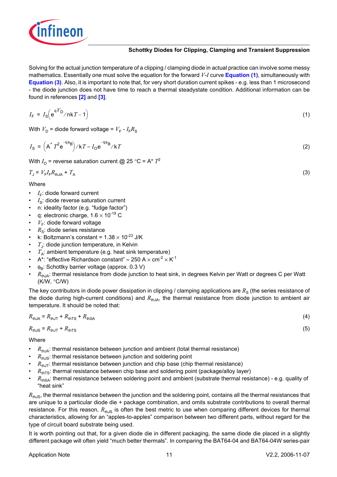![](_page_10_Picture_0.jpeg)

Solving for the actual junction temperature of a clipping / clamping diode in actual practice can involve some messy mathematics. Essentially one must solve the equation for the forward *V*-*I* curve **[Equation](#page-10-0) (1)**, simultaneously with **[Equation](#page-10-1) (3)**. Also, it is important to note that, for very short duration current spikes - e.g. less than 1 microsecond - the diode junction does not have time to reach a thermal steadystate condition. Additional information can be found in references **[\[2\]](#page-11-0)** and **[\[3\]](#page-11-1)**.

<span id="page-10-0"></span>
$$
I_{\rm F} = I_{\rm S} \left( e^{qV_D} / nkT - 1 \right) \tag{1}
$$

With  $V_D$  = diode forward voltage =  $V_F$  -  $I_F R_S$ 

$$
I_{\rm S} = \left(A^* T^2 e^{-q\phi_{\rm B}}\right) / kT = I_{\rm O} e^{-q\phi_{\rm B}} / kT \tag{2}
$$

With  $I_{\Omega}$  = reverse saturation current @ 25 °C = A\*  $T^2$ 

<span id="page-10-1"></span>
$$
T_{J} = V_{F} I_{F} R_{thJA} + T_{A}
$$
\n(3)

Where

- $I_F$ : diode forward current
- $I_{\rm S}$ : diode reverse saturation current
- n: ideality factor (e.g. "fudge factor")
- q: electronic charge,  $1.6 \times 10^{-19}$  C
- $V_F$ : diode forward voltage
- $R<sub>s</sub>$ : diode series resistance
- k: Boltzmann's constant =  $1.38 \times 10^{-23}$  J/K
- $T_{\rm J}$ : diode junction temperature, in Kelvin
- $T_{\rm A}$ : ambient temperature (e.g. heat sink temperature)
- A\*: "effective Richardson constant"  $\approx$  250 A  $\times$  cm<sup>-2</sup>  $\times$  K<sup>-1</sup>
- $\phi_B$ : Schottky barrier voltage (approx. 0.3 V)
- $R_{thJA}$ : thermal resistance from diode junction to heat sink, in degrees Kelvin per Watt or degrees C per Watt (K/W, °C/W)

The key contributors in diode power dissipation in clipping / clamping applications are  $R<sub>S</sub>$  (the series resistance of the diode during high-current conditions) and  $R_{thJA}$ , the thermal resistance from diode junction to ambient air temperature. It should be noted that:

$$
R_{\text{thJA}} = R_{\text{thJT}} + R_{\text{thTS}} + R_{\text{thSA}} \tag{4}
$$

 $R_{\text{th,IS}} = R_{\text{th,II}} + R_{\text{th,TS}}$  (5)

Where

- $R_{\text{thIA}}$ : thermal resistance between junction and ambient (total thermal resistance)
- $R_{\text{th,IS}}$ : thermal resistance between junction and soldering point
- $R_{\text{th,IT}}$ : thermal resistance between junction and chip base (chip thermal resistance)
- $R_{\text{thTS}}$ : thermal resistance between chip base and soldering point (package/alloy layer)
- $R_{\text{thSA}}$ : thermal resistance between soldering point and ambient (substrate thermal resistance) e.g. quality of "heat sink"

 $R_{\text{th,IS}}$ , the thermal resistance between the junction and the soldering point, contains all the thermal resistances that are unique to a particular diode die + package combination, and omits substrate contributions to overall thermal resistance. For this reason,  $R_{\text{thJS}}$  is often the best metric to use when comparing different devices for thermal characteristics, allowing for an "apples-to-apples" comparison between two different parts, without regard for the type of circuit board substrate being used.

It is worth pointing out that, for a given diode die in different packaging, the same diode die placed in a slightly different package will often yield "much better thermals". In comparing the BAT64-04 and BAT64-04W series-pair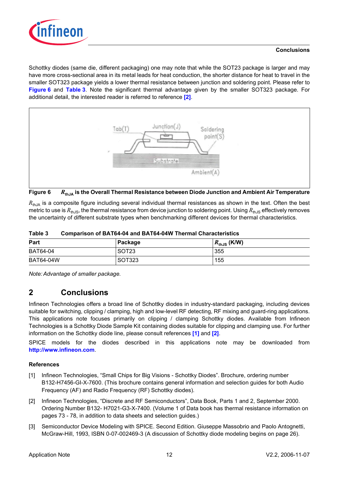![](_page_11_Picture_0.jpeg)

# **Conclusions**

Schottky diodes (same die, different packaging) one may note that while the SOT23 package is larger and may have more cross-sectional area in its metal leads for heat conduction, the shorter distance for heat to travel in the smaller SOT323 package yields a lower thermal resistance between junction and soldering point. Please refer to **[Figure](#page-11-2) 6** and **[Table](#page-11-3) 3**. Note the significant thermal advantage given by the smaller SOT323 package. For additional detail, the interested reader is referred to reference **[\[2\]](#page-11-0)**.

![](_page_11_Figure_3.jpeg)

<span id="page-11-2"></span>![](_page_11_Figure_4.jpeg)

 $R_{\text{th}}$ A is a composite figure including several individual thermal resistances as shown in the text. Often the best metric to use is  $R_{th,1S}$ , the thermal resistance from device junction to soldering point. Using  $R_{th,1S}$  effectively removes the uncertainty of different substrate types when benchmarking different devices for thermal characteristics.

| Part             | Package           | $R_{\text{thJS}}$ (K/W) |
|------------------|-------------------|-------------------------|
| <b>BAT64-04</b>  | SOT <sub>23</sub> | 355                     |
| <b>BAT64-04W</b> | SOT323            | 155                     |

<span id="page-11-3"></span>**Table 3 Comparison of BAT64-04 and BAT64-04W Thermal Characteristics**

*Note: Advantage of smaller package.*

# **2 Conclusions**

Infineon Technologies offers a broad line of Schottky diodes in industry-standard packaging, including devices suitable for switching, clipping / clamping, high and low-level RF detecting, RF mixing and guard-ring applications. This applications note focuses primarily on clipping / clamping Schottky diodes. Available from Infineon Technologies is a Schottky Diode Sample Kit containing diodes suitable for clipping and clamping use. For further information on the Schottky diode line, please consult references **[\[1\]](#page-11-4)** and **[\[2\]](#page-11-0)**.

SPICE models for the diodes described in this applications note may be downloaded from **http://www.infineon.com**.

# **References**

- <span id="page-11-4"></span>[1] Infineon Technologies, "Small Chips for Big Visions - Schottky Diodes". Brochure, ordering number B132-H7456-GI-X-7600. (This brochure contains general information and selection guides for both Audio Frequency (AF) and Radio Frequency (RF) Schottky diodes).
- <span id="page-11-0"></span>[2] Infineon Technologies, "Discrete and RF Semiconductors", Data Book, Parts 1 and 2, September 2000. Ordering Number B132- H7021-G3-X-7400. (Volume 1 of Data book has thermal resistance information on pages 73 - 78, in addition to data sheets and selection guides.)
- <span id="page-11-1"></span>[3] Semiconductor Device Modeling with SPICE. Second Edition. Giuseppe Massobrio and Paolo Antognetti, McGraw-Hill, 1993, ISBN 0-07-002469-3 (A discussion of Schottky diode modeling begins on page 26).